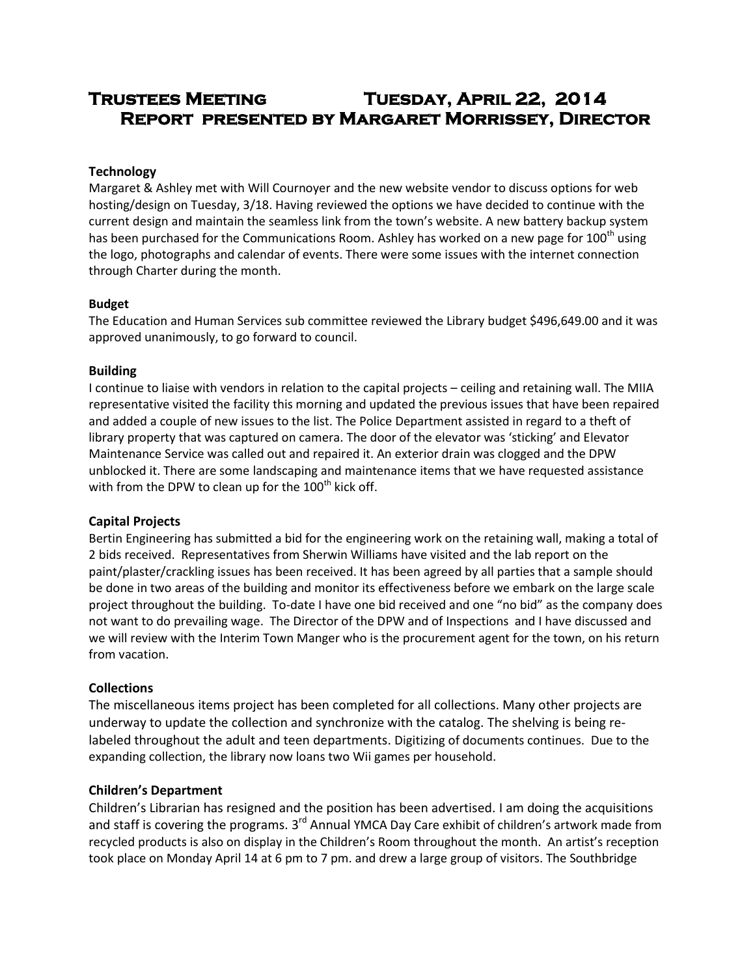# **Trustees Meeting Tuesday, April 22, 2014 Report presented by Margaret Morrissey, Director**

## **Technology**

Margaret & Ashley met with Will Cournoyer and the new website vendor to discuss options for web hosting/design on Tuesday, 3/18. Having reviewed the options we have decided to continue with the current design and maintain the seamless link from the town's website. A new battery backup system has been purchased for the Communications Room. Ashley has worked on a new page for  $100<sup>th</sup>$  using the logo, photographs and calendar of events. There were some issues with the internet connection through Charter during the month.

#### **Budget**

The Education and Human Services sub committee reviewed the Library budget \$496,649.00 and it was approved unanimously, to go forward to council.

#### **Building**

I continue to liaise with vendors in relation to the capital projects – ceiling and retaining wall. The MIIA representative visited the facility this morning and updated the previous issues that have been repaired and added a couple of new issues to the list. The Police Department assisted in regard to a theft of library property that was captured on camera. The door of the elevator was 'sticking' and Elevator Maintenance Service was called out and repaired it. An exterior drain was clogged and the DPW unblocked it. There are some landscaping and maintenance items that we have requested assistance with from the DPW to clean up for the  $100<sup>th</sup>$  kick off.

# **Capital Projects**

Bertin Engineering has submitted a bid for the engineering work on the retaining wall, making a total of 2 bids received. Representatives from Sherwin Williams have visited and the lab report on the paint/plaster/crackling issues has been received. It has been agreed by all parties that a sample should be done in two areas of the building and monitor its effectiveness before we embark on the large scale project throughout the building. To-date I have one bid received and one "no bid" as the company does not want to do prevailing wage. The Director of the DPW and of Inspections and I have discussed and we will review with the Interim Town Manger who is the procurement agent for the town, on his return from vacation.

# **Collections**

The miscellaneous items project has been completed for all collections. Many other projects are underway to update the collection and synchronize with the catalog. The shelving is being relabeled throughout the adult and teen departments. Digitizing of documents continues. Due to the expanding collection, the library now loans two Wii games per household.

#### **Children's Department**

Children's Librarian has resigned and the position has been advertised. I am doing the acquisitions and staff is covering the programs. 3<sup>rd</sup> Annual YMCA Day Care exhibit of children's artwork made from recycled products is also on display in the Children's Room throughout the month. An artist's reception took place on Monday April 14 at 6 pm to 7 pm. and drew a large group of visitors. The Southbridge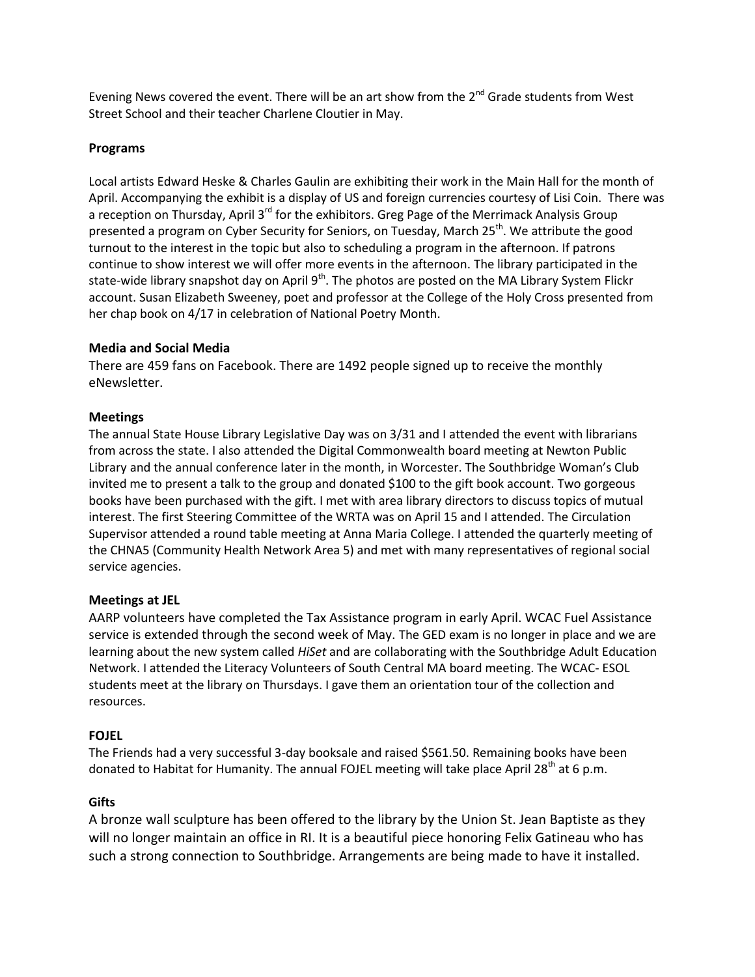Evening News covered the event. There will be an art show from the  $2^{nd}$  Grade students from West Street School and their teacher Charlene Cloutier in May.

## **Programs**

Local artists Edward Heske & Charles Gaulin are exhibiting their work in the Main Hall for the month of April. Accompanying the exhibit is a display of US and foreign currencies courtesy of Lisi Coin. There was a reception on Thursday, April 3<sup>rd</sup> for the exhibitors. Greg Page of the Merrimack Analysis Group presented a program on Cyber Security for Seniors, on Tuesday, March 25<sup>th</sup>. We attribute the good turnout to the interest in the topic but also to scheduling a program in the afternoon. If patrons continue to show interest we will offer more events in the afternoon. The library participated in the state-wide library snapshot day on April 9<sup>th</sup>. The photos are posted on the MA Library System Flickr account. Susan Elizabeth Sweeney, poet and professor at the College of the Holy Cross presented from her chap book on 4/17 in celebration of National Poetry Month.

#### **Media and Social Media**

There are 459 fans on Facebook. There are 1492 people signed up to receive the monthly eNewsletter.

## **Meetings**

The annual State House Library Legislative Day was on 3/31 and I attended the event with librarians from across the state. I also attended the Digital Commonwealth board meeting at Newton Public Library and the annual conference later in the month, in Worcester. The Southbridge Woman's Club invited me to present a talk to the group and donated \$100 to the gift book account. Two gorgeous books have been purchased with the gift. I met with area library directors to discuss topics of mutual interest. The first Steering Committee of the WRTA was on April 15 and I attended. The Circulation Supervisor attended a round table meeting at Anna Maria College. I attended the quarterly meeting of the CHNA5 (Community Health Network Area 5) and met with many representatives of regional social service agencies.

# **Meetings at JEL**

AARP volunteers have completed the Tax Assistance program in early April. WCAC Fuel Assistance service is extended through the second week of May. The GED exam is no longer in place and we are learning about the new system called *HiSet* and are collaborating with the Southbridge Adult Education Network. I attended the Literacy Volunteers of South Central MA board meeting. The WCAC- ESOL students meet at the library on Thursdays. I gave them an orientation tour of the collection and resources.

# **FOJEL**

The Friends had a very successful 3-day booksale and raised \$561.50. Remaining books have been donated to Habitat for Humanity. The annual FOJEL meeting will take place April 28<sup>th</sup> at 6 p.m.

#### **Gifts**

A bronze wall sculpture has been offered to the library by the Union St. Jean Baptiste as they will no longer maintain an office in RI. It is a beautiful piece honoring Felix Gatineau who has such a strong connection to Southbridge. Arrangements are being made to have it installed.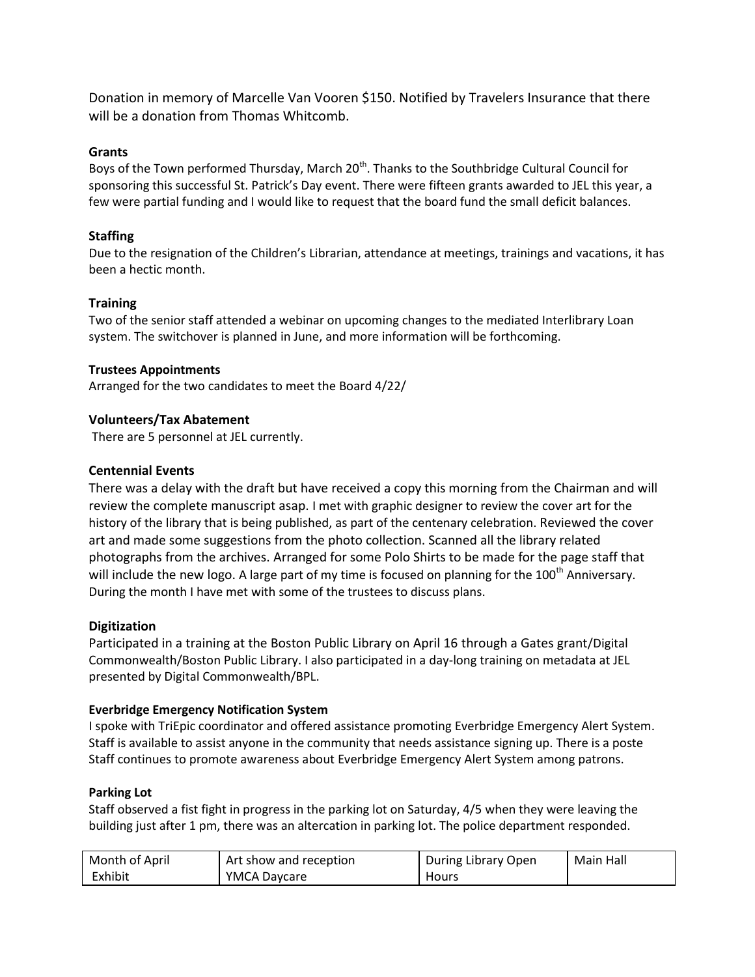Donation in memory of Marcelle Van Vooren \$150. Notified by Travelers Insurance that there will be a donation from Thomas Whitcomb.

## **Grants**

Boys of the Town performed Thursday, March 20<sup>th</sup>. Thanks to the Southbridge Cultural Council for sponsoring this successful St. Patrick's Day event. There were fifteen grants awarded to JEL this year, a few were partial funding and I would like to request that the board fund the small deficit balances.

## **Staffing**

Due to the resignation of the Children's Librarian, attendance at meetings, trainings and vacations, it has been a hectic month.

## **Training**

Two of the senior staff attended a webinar on upcoming changes to the mediated Interlibrary Loan system. The switchover is planned in June, and more information will be forthcoming.

#### **Trustees Appointments**

Arranged for the two candidates to meet the Board 4/22/

## **Volunteers/Tax Abatement**

There are 5 personnel at JEL currently.

#### **Centennial Events**

There was a delay with the draft but have received a copy this morning from the Chairman and will review the complete manuscript asap. I met with graphic designer to review the cover art for the history of the library that is being published, as part of the centenary celebration. Reviewed the cover art and made some suggestions from the photo collection. Scanned all the library related photographs from the archives. Arranged for some Polo Shirts to be made for the page staff that will include the new logo. A large part of my time is focused on planning for the 100<sup>th</sup> Anniversary. During the month I have met with some of the trustees to discuss plans.

#### **Digitization**

Participated in a training at the Boston Public Library on April 16 through a Gates grant/Digital Commonwealth/Boston Public Library. I also participated in a day-long training on metadata at JEL presented by Digital Commonwealth/BPL.

#### **Everbridge Emergency Notification System**

I spoke with TriEpic coordinator and offered assistance promoting Everbridge Emergency Alert System. Staff is available to assist anyone in the community that needs assistance signing up. There is a poste Staff continues to promote awareness about Everbridge Emergency Alert System among patrons.

#### **Parking Lot**

Staff observed a fist fight in progress in the parking lot on Saturday, 4/5 when they were leaving the building just after 1 pm, there was an altercation in parking lot. The police department responded.

| Month of April | Art show and reception | During Library Open | Main Hall |
|----------------|------------------------|---------------------|-----------|
| Exhibit        | <b>YMCA Daycare</b>    | Hours               |           |